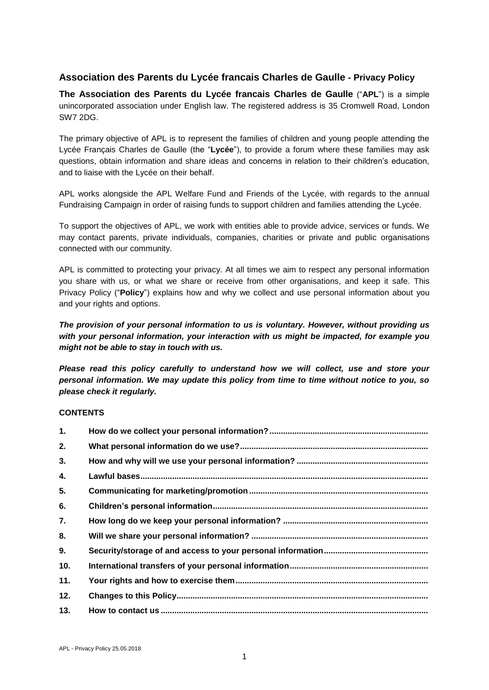# **Association des Parents du Lycée francais Charles de Gaulle - Privacy Policy**

**The Association des Parents du Lycée francais Charles de Gaulle** ("**APL**") is a simple unincorporated association under English law. The registered address is 35 Cromwell Road, London SW7 2DG.

The primary objective of APL is to represent the families of children and young people attending the Lycée Français Charles de Gaulle (the "**Lycée**"), to provide a forum where these families may ask questions, obtain information and share ideas and concerns in relation to their children's education, and to liaise with the Lycée on their behalf.

APL works alongside the APL Welfare Fund and Friends of the Lycée, with regards to the annual Fundraising Campaign in order of raising funds to support children and families attending the Lycée.

To support the objectives of APL, we work with entities able to provide advice, services or funds. We may contact parents, private individuals, companies, charities or private and public organisations connected with our community.

APL is committed to protecting your privacy. At all times we aim to respect any personal information you share with us, or what we share or receive from other organisations, and keep it safe. This Privacy Policy ("**Policy**") explains how and why we collect and use personal information about you and your rights and options.

*The provision of your personal information to us is voluntary. However, without providing us with your personal information, your interaction with us might be impacted, for example you might not be able to stay in touch with us.*

*Please read this policy carefully to understand how we will collect, use and store your personal information. We may update this policy from time to time without notice to you, so please check it regularly.* 

### **CONTENTS**

| 1.  |  |
|-----|--|
| 2.  |  |
| 3.  |  |
| 4.  |  |
| 5.  |  |
| 6.  |  |
| 7.  |  |
| 8.  |  |
| 9.  |  |
| 10. |  |
| 11. |  |
| 12. |  |
| 13. |  |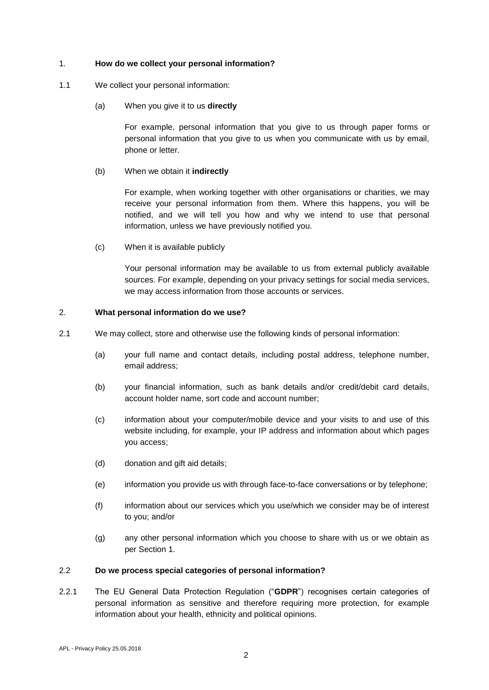#### <span id="page-1-0"></span>1. **How do we collect your personal information?**

- 1.1 We collect your personal information:
	- (a) When you give it to us **directly**

For example, personal information that you give to us through paper forms or personal information that you give to us when you communicate with us by email, phone or letter.

(b) When we obtain it **indirectly**

For example, when working together with other organisations or charities, we may receive your personal information from them. Where this happens, you will be notified, and we will tell you how and why we intend to use that personal information, unless we have previously notified you.

(c) When it is available publicly

Your personal information may be available to us from external publicly available sources. For example, depending on your privacy settings for social media services, we may access information from those accounts or services.

#### <span id="page-1-1"></span>2. **What personal information do we use?**

- 2.1 We may collect, store and otherwise use the following kinds of personal information:
	- (a) your full name and contact details, including postal address, telephone number, email address;
	- (b) your financial information, such as bank details and/or credit/debit card details, account holder name, sort code and account number;
	- (c) information about your computer/mobile device and your visits to and use of this website including, for example, your IP address and information about which pages you access;
	- (d) donation and gift aid details;
	- (e) information you provide us with through face-to-face conversations or by telephone;
	- (f) information about our services which you use/which we consider may be of interest to you; and/or
	- (g) any other personal information which you choose to share with us or we obtain as per Section [1.](#page-1-0)

#### 2.2 **Do we process special categories of personal information?**

2.2.1 The EU General Data Protection Regulation ("**GDPR**") recognises certain categories of personal information as sensitive and therefore requiring more protection, for example information about your health, ethnicity and political opinions.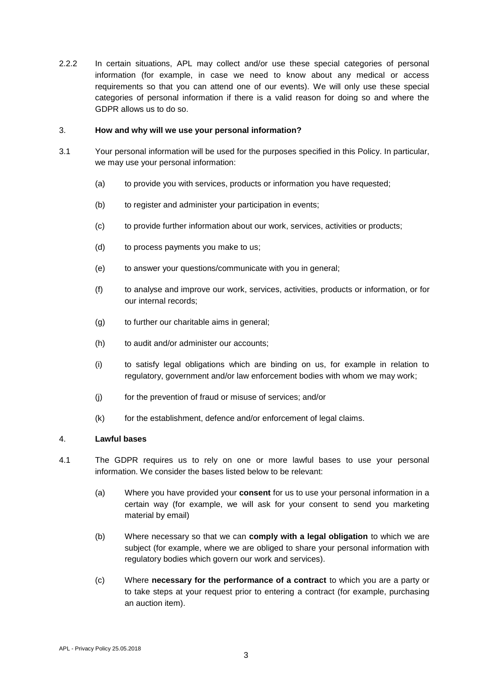2.2.2 In certain situations, APL may collect and/or use these special categories of personal information (for example, in case we need to know about any medical or access requirements so that you can attend one of our events). We will only use these special categories of personal information if there is a valid reason for doing so and where the GDPR allows us to do so.

#### <span id="page-2-0"></span>3. **How and why will we use your personal information?**

- 3.1 Your personal information will be used for the purposes specified in this Policy. In particular, we may use your personal information:
	- (a) to provide you with services, products or information you have requested;
	- (b) to register and administer your participation in events;
	- (c) to provide further information about our work, services, activities or products;
	- (d) to process payments you make to us;
	- (e) to answer your questions/communicate with you in general;
	- (f) to analyse and improve our work, services, activities, products or information, or for our internal records;
	- (g) to further our charitable aims in general;
	- (h) to audit and/or administer our accounts;
	- (i) to satisfy legal obligations which are binding on us, for example in relation to regulatory, government and/or law enforcement bodies with whom we may work;
	- (j) for the prevention of fraud or misuse of services; and/or
	- $(k)$  for the establishment, defence and/or enforcement of legal claims.

### <span id="page-2-1"></span>4. **Lawful bases**

- 4.1 The GDPR requires us to rely on one or more lawful bases to use your personal information. We consider the bases listed below to be relevant:
	- (a) Where you have provided your **consent** for us to use your personal information in a certain way (for example, we will ask for your consent to send you marketing material by email)
	- (b) Where necessary so that we can **comply with a legal obligation** to which we are subject (for example, where we are obliged to share your personal information with regulatory bodies which govern our work and services).
	- (c) Where **necessary for the performance of a contract** to which you are a party or to take steps at your request prior to entering a contract (for example, purchasing an auction item).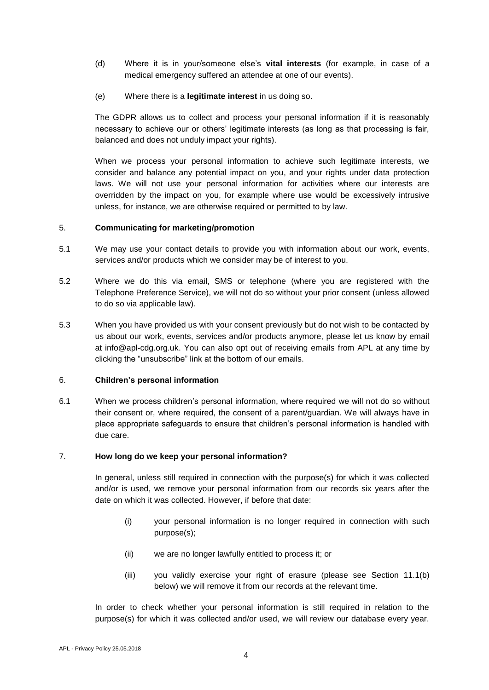- (d) Where it is in your/someone else's **vital interests** (for example, in case of a medical emergency suffered an attendee at one of our events).
- (e) Where there is a **legitimate interest** in us doing so.

The GDPR allows us to collect and process your personal information if it is reasonably necessary to achieve our or others' legitimate interests (as long as that processing is fair, balanced and does not unduly impact your rights).

When we process your personal information to achieve such legitimate interests, we consider and balance any potential impact on you, and your rights under data protection laws. We will not use your personal information for activities where our interests are overridden by the impact on you, for example where use would be excessively intrusive unless, for instance, we are otherwise required or permitted to by law.

### <span id="page-3-0"></span>5. **Communicating for marketing/promotion**

- 5.1 We may use your contact details to provide you with information about our work, events, services and/or products which we consider may be of interest to you.
- 5.2 Where we do this via email, SMS or telephone (where you are registered with the Telephone Preference Service), we will not do so without your prior consent (unless allowed to do so via applicable law).
- 5.3 When you have provided us with your consent previously but do not wish to be contacted by us about our work, events, services and/or products anymore, please let us know by email at info@apl-cdg.org.uk. You can also opt out of receiving emails from APL at any time by clicking the "unsubscribe" link at the bottom of our emails.

### <span id="page-3-1"></span>6. **Children's personal information**

6.1 When we process children's personal information, where required we will not do so without their consent or, where required, the consent of a parent/guardian. We will always have in place appropriate safeguards to ensure that children's personal information is handled with due care.

### <span id="page-3-2"></span>7. **How long do we keep your personal information?**

In general, unless still required in connection with the purpose(s) for which it was collected and/or is used, we remove your personal information from our records six years after the date on which it was collected. However, if before that date:

- (i) your personal information is no longer required in connection with such purpose(s);
- (ii) we are no longer lawfully entitled to process it; or
- (iii) you validly exercise your right of erasure (please see Section [11.1\(b\)](#page-5-2) below) we will remove it from our records at the relevant time.

In order to check whether your personal information is still required in relation to the purpose(s) for which it was collected and/or used, we will review our database every year.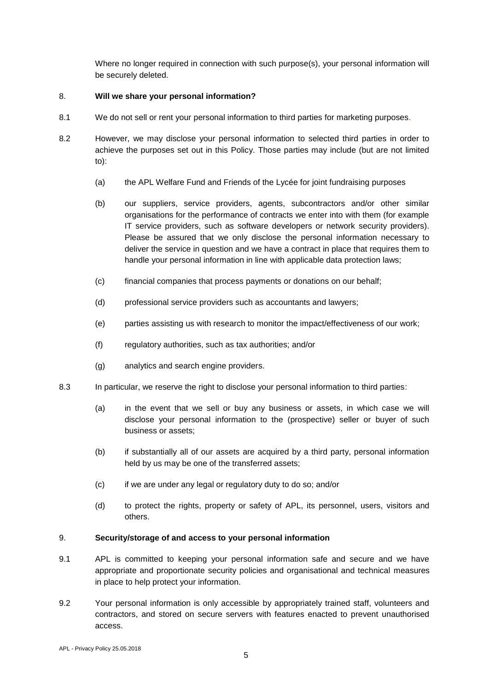Where no longer required in connection with such purpose(s), your personal information will be securely deleted.

### <span id="page-4-0"></span>8. **Will we share your personal information?**

- 8.1 We do not sell or rent your personal information to third parties for marketing purposes.
- 8.2 However, we may disclose your personal information to selected third parties in order to achieve the purposes set out in this Policy. Those parties may include (but are not limited to):
	- (a) the APL Welfare Fund and Friends of the Lycée for joint fundraising purposes
	- (b) our suppliers, service providers, agents, subcontractors and/or other similar organisations for the performance of contracts we enter into with them (for example IT service providers, such as software developers or network security providers). Please be assured that we only disclose the personal information necessary to deliver the service in question and we have a contract in place that requires them to handle your personal information in line with applicable data protection laws;
	- (c) financial companies that process payments or donations on our behalf;
	- (d) professional service providers such as accountants and lawyers;
	- (e) parties assisting us with research to monitor the impact/effectiveness of our work;
	- (f) regulatory authorities, such as tax authorities; and/or
	- (g) analytics and search engine providers.
- 8.3 In particular, we reserve the right to disclose your personal information to third parties:
	- (a) in the event that we sell or buy any business or assets, in which case we will disclose your personal information to the (prospective) seller or buyer of such business or assets;
	- (b) if substantially all of our assets are acquired by a third party, personal information held by us may be one of the transferred assets;
	- (c) if we are under any legal or regulatory duty to do so; and/or
	- (d) to protect the rights, property or safety of APL, its personnel, users, visitors and others.

### <span id="page-4-1"></span>9. **Security/storage of and access to your personal information**

- 9.1 APL is committed to keeping your personal information safe and secure and we have appropriate and proportionate security policies and organisational and technical measures in place to help protect your information.
- 9.2 Your personal information is only accessible by appropriately trained staff, volunteers and contractors, and stored on secure servers with features enacted to prevent unauthorised access.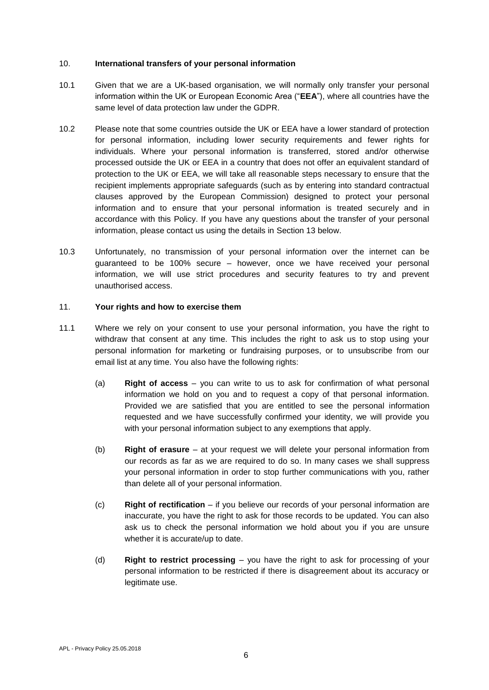#### <span id="page-5-0"></span>10. **International transfers of your personal information**

- 10.1 Given that we are a UK-based organisation, we will normally only transfer your personal information within the UK or European Economic Area ("**EEA**"), where all countries have the same level of data protection law under the GDPR.
- 10.2 Please note that some countries outside the UK or EEA have a lower standard of protection for personal information, including lower security requirements and fewer rights for individuals. Where your personal information is transferred, stored and/or otherwise processed outside the UK or EEA in a country that does not offer an equivalent standard of protection to the UK or EEA, we will take all reasonable steps necessary to ensure that the recipient implements appropriate safeguards (such as by entering into standard contractual clauses approved by the European Commission) designed to protect your personal information and to ensure that your personal information is treated securely and in accordance with this Policy. If you have any questions about the transfer of your personal information, please contact us using the details in Section 13 below.
- 10.3 Unfortunately, no transmission of your personal information over the internet can be guaranteed to be 100% secure – however, once we have received your personal information, we will use strict procedures and security features to try and prevent unauthorised access.

#### <span id="page-5-1"></span>11. **Your rights and how to exercise them**

- <span id="page-5-2"></span>11.1 Where we rely on your consent to use your personal information, you have the right to withdraw that consent at any time. This includes the right to ask us to stop using your personal information for marketing or fundraising purposes, or to unsubscribe from our email list at any time. You also have the following rights:
	- (a) **Right of access** you can write to us to ask for confirmation of what personal information we hold on you and to request a copy of that personal information. Provided we are satisfied that you are entitled to see the personal information requested and we have successfully confirmed your identity, we will provide you with your personal information subject to any exemptions that apply.
	- (b) **Right of erasure** at your request we will delete your personal information from our records as far as we are required to do so. In many cases we shall suppress your personal information in order to stop further communications with you, rather than delete all of your personal information.
	- (c) **Right of rectification** if you believe our records of your personal information are inaccurate, you have the right to ask for those records to be updated. You can also ask us to check the personal information we hold about you if you are unsure whether it is accurate/up to date.
	- (d) **Right to restrict processing** you have the right to ask for processing of your personal information to be restricted if there is disagreement about its accuracy or legitimate use.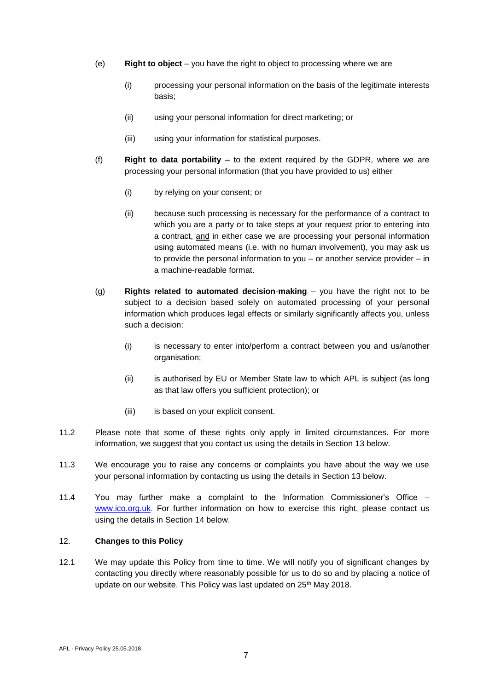- (e) **Right to object** you have the right to object to processing where we are
	- (i) processing your personal information on the basis of the legitimate interests basis;
	- (ii) using your personal information for direct marketing; or
	- (iii) using your information for statistical purposes.
- (f) **Right to data portability** to the extent required by the GDPR, where we are processing your personal information (that you have provided to us) either
	- (i) by relying on your consent; or
	- (ii) because such processing is necessary for the performance of a contract to which you are a party or to take steps at your request prior to entering into a contract, and in either case we are processing your personal information using automated means (i.e. with no human involvement), you may ask us to provide the personal information to you – or another service provider – in a machine-readable format.
- (g) **Rights related to automated decision**-**making** you have the right not to be subject to a decision based solely on automated processing of your personal information which produces legal effects or similarly significantly affects you, unless such a decision:
	- (i) is necessary to enter into/perform a contract between you and us/another organisation;
	- (ii) is authorised by EU or Member State law to which APL is subject (as long as that law offers you sufficient protection); or
	- (iii) is based on your explicit consent.
- 11.2 Please note that some of these rights only apply in limited circumstances. For more information, we suggest that you contact us using the details in Section 13 below.
- 11.3 We encourage you to raise any concerns or complaints you have about the way we use your personal information by contacting us using the details in Section 13 below.
- 11.4 You may further make a complaint to the Information Commissioner's Office [www.ico.org.uk](http://www.ico.org.uk/). For further information on how to exercise this right, please contact us using the details in Section 14 below.

#### <span id="page-6-0"></span>12. **Changes to this Policy**

12.1 We may update this Policy from time to time. We will notify you of significant changes by contacting you directly where reasonably possible for us to do so and by placing a notice of update on our website. This Policy was last updated on 25<sup>th</sup> May 2018.